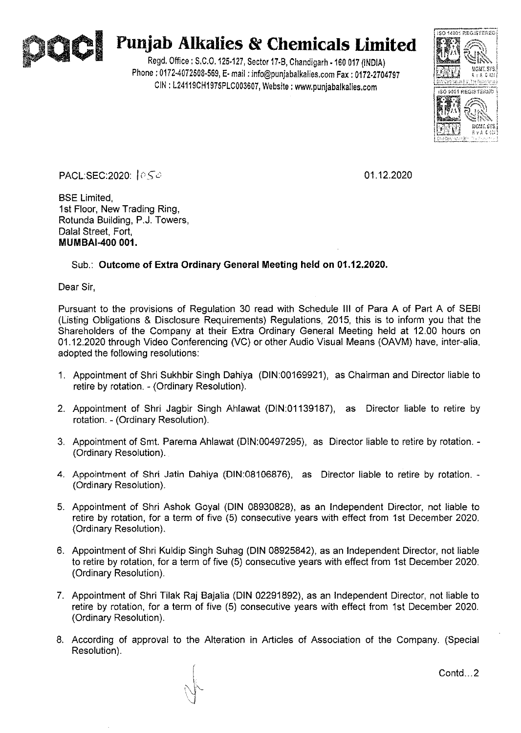

## 01 **Punjab Alkalies & Chemicals Limited**

Regd. Office: S.C.O.125·127, Sector 17·8, Chandigarh ·160 017 (INDIA) Phone: 0172·4072508-569, E· mail: info@punjabalkalies.com Fax: 0172.2704797 CIN : L24119CH1975PLC003607, Website: www.punjabalkalies.com



PACL:SEC:2020:  $|{\circ}5{\circ}|$ 

BSE Limited, 1st Floor, New Trading Ring, Rotunda Building, P.J. Towers, Dalal Street, Fort, **MUMBAI-400 001.** 

## Sub.: **Outcome of Extra Ordinary General Meeting held on 01.12.2020.**

Dear Sir,

Pursuant to the provisions of Regulation 30 read with Schedule III of Para A of Part A of SEBI (Listing Obligations & Disclosure Requirements) Regulations, 2015, this is to inform you that the Shareholders of the Company at their Extra Ordinary General Meeting held at 12.00 hours on 01.12.2020 through Video Conferencing (VC) or other Audio Visual Means (OAVM) have, inter-alia, adopted the following resolutions:

- 1. Appointment of Shri Sukhbir Singh Dahiya (DIN:00169921), as Chairman and Director liable to retire by rotation. - (Ordinary Resolution).
- 2. Appointment of Shri Jagbir Singh Ahlawat (DIN:01139187), as Director liable to retire by rotation. - (Ordinary Resolution).
- 3. Appointment of Smt. Parerna Ahlawat (DIN:00497295), as Director liable to retire by rotation. (Ordinary Resolution).
- 4. Appointment of Shri Jatin Dahiya (DIN:08106876), as Director liable to retire by rotation. (Ordinary Resolution).
- 5. Appointment of Shri Ashok Goyal (DIN 08930828), as an Independent Director, not liable to retire by rotation, for a term of five (5) consecutive years with effect from 1st December 2020. (Ordinary Resolution).
- 6. Appointment of Shri Kuldip Singh Suhag (DIN 08925842), as an Independent Director, not liable to retire by rotation, for a term of five (5) consecutive years with effect from 1st December 2020. (Ordinary Resolution).
- 7. Appointment of Shri Tilak Raj Bajalia (DIN 02291892), as an Independent Director, not liable to retire by rotation, for a term of five (5) consecutive years with effect from 1st December 2020. (Ordinary Resolution).
- 8. According of approval to the Alteration in Articles of Association of the Company. (Special Resolution).

Contd...2